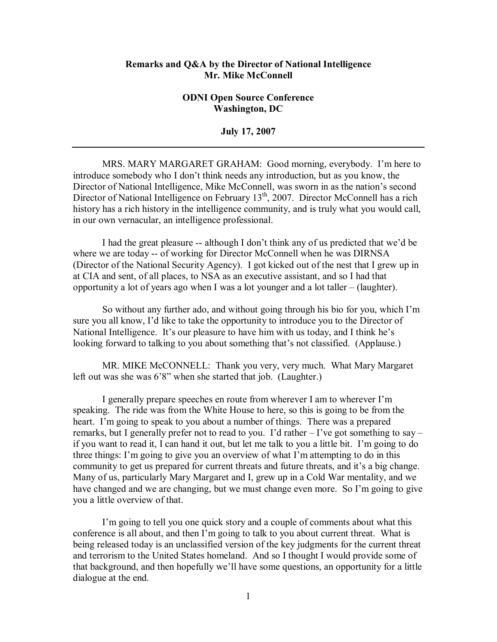## **Remarks and Q&A by the Director of National Intelligence Mr. Mike McConnell**

## **ODNI Open Source Conference Washington, DC**

**July 17, 2007** 

MRS. MARY MARGARET GRAHAM: Good morning, everybody. I'm here to introduce somebody who I don't think needs any introduction, but as you know, the Director of National Intelligence, Mike McConnell, was sworn in as the nation's second Director of National Intelligence on February 13<sup>th</sup>, 2007. Director McConnell has a rich history has a rich history in the intelligence community, and is truly what you would call, in our own vernacular, an intelligence professional.

I had the great pleasure -- although I don't think any of us predicted that we'd be where we are today -- of working for Director McConnell when he was DIRNSA (Director of the National Security Agency). I got kicked out of the nest that I grew up in at CIA and sent, of all places, to NSA as an executive assistant, and so I had that opportunity a lot of years ago when I was a lot younger and a lot taller  $-$  (laughter).

So without any further ado, and without going through his bio for you, which  $\Gamma m$ sure you all know, I'd like to take the opportunity to introduce you to the Director of National Intelligence. It's our pleasure to have him with us today, and I think he's looking forward to talking to you about something that's not classified. (Applause.)

MR. MIKE McCONNELL: Thank you very, very much. What Mary Margaret left out was she was 6'8" when she started that job. (Laughter.)

I generally prepare speeches en route from wherever I am to wherever I'm speaking. The ride was from the White House to here, so this is going to be from the heart. I'm going to speak to you about a number of things. There was a prepared remarks, but I generally prefer not to read to you. I'd rather  $-$  I've got something to say  $$ if you want to read it, I can hand it out, but let me talk to you a little bit. I'm going to do three things: I'm going to give you an overview of what I'm attempting to do in this community to get us prepared for current threats and future threats, and it's a big change. Many of us, particularly Mary Margaret and I, grew up in a Cold War mentality, and we have changed and we are changing, but we must change even more. So I'm going to give you a little overview of that.

I'm going to tell you one quick story and a couple of comments about what this conference is all about, and then I'm going to talk to you about current threat. What is being released today is an unclassified version of the key judgments for the current threat and terrorism to the United States homeland. And so I thought I would provide some of that background, and then hopefully we'll have some questions, an opportunity for a little dialogue at the end.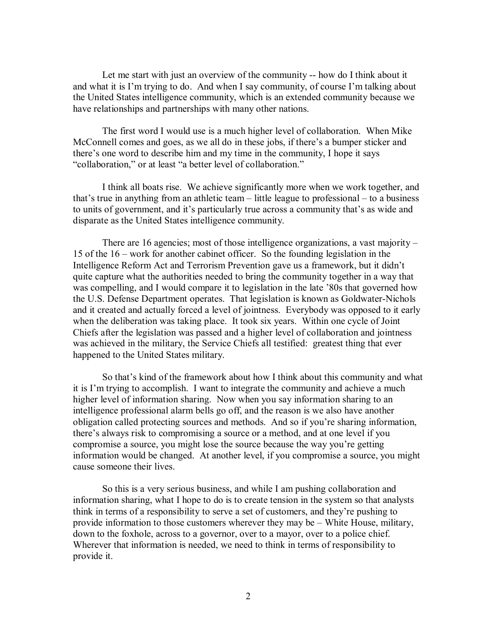Let me start with just an overview of the community -- how do I think about it and what it is I'm trying to do. And when I say community, of course I'm talking about the United States intelligence community, which is an extended community because we have relationships and partnerships with many other nations.

The first word I would use is a much higher level of collaboration. When Mike McConnell comes and goes, as we all do in these jobs, if there's a bumper sticker and there's one word to describe him and my time in the community, I hope it says "collaboration," or at least "a better level of collaboration."

I think all boats rise. We achieve significantly more when we work together, and that's true in anything from an athletic team  $-$  little league to professional  $-$  to a business to units of government, and it's particularly true across a community that's as wide and disparate as the United States intelligence community.

There are 16 agencies; most of those intelligence organizations, a vast majority  $-$ 15 of the  $16$  – work for another cabinet officer. So the founding legislation in the Intelligence Reform Act and Terrorism Prevention gave us a framework, but it didn't quite capture what the authorities needed to bring the community together in a way that was compelling, and I would compare it to legislation in the late '80s that governed how the U.S. Defense Department operates. That legislation is known as Goldwater-Nichols and it created and actually forced a level of jointness. Everybody was opposed to it early when the deliberation was taking place. It took six years. Within one cycle of Joint Chiefs after the legislation was passed and a higher level of collaboration and jointness was achieved in the military, the Service Chiefs all testified: greatest thing that ever happened to the United States military.

So that's kind of the framework about how I think about this community and what it is I'm trying to accomplish. I want to integrate the community and achieve a much higher level of information sharing. Now when you say information sharing to an intelligence professional alarm bells go off, and the reason is we also have another obligation called protecting sources and methods. And so if you're sharing information, there's always risk to compromising a source or a method, and at one level if you compromise a source, you might lose the source because the way you're getting information would be changed. At another level, if you compromise a source, you might cause someone their lives.

So this is a very serious business, and while I am pushing collaboration and information sharing, what I hope to do is to create tension in the system so that analysts think in terms of a responsibility to serve a set of customers, and they're pushing to provide information to those customers wherever they may be  $-$  White House, military, down to the foxhole, across to a governor, over to a mayor, over to a police chief. Wherever that information is needed, we need to think in terms of responsibility to provide it.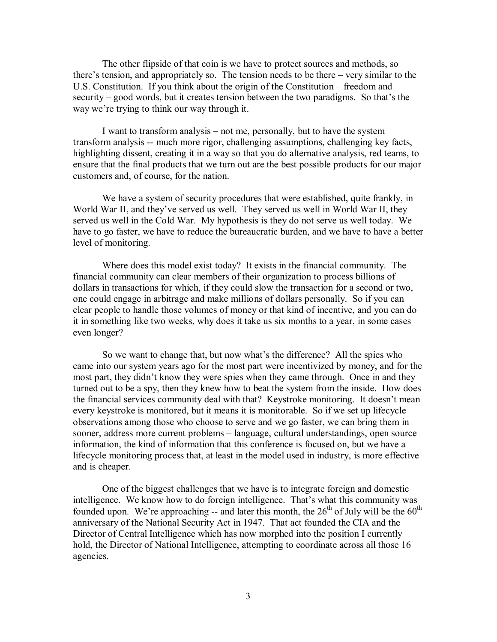The other flipside of that coin is we have to protect sources and methods, so there's tension, and appropriately so. The tension needs to be there  $-\nu$ ery similar to the U.S. Constitution. If you think about the origin of the Constitution – freedom and security  $-$  good words, but it creates tension between the two paradigms. So that's the way we're trying to think our way through it.

I want to transform analysis  $-$  not me, personally, but to have the system transform analysis -- much more rigor, challenging assumptions, challenging key facts, highlighting dissent, creating it in a way so that you do alternative analysis, red teams, to ensure that the final products that we turn out are the best possible products for our major customers and, of course, for the nation.

We have a system of security procedures that were established, quite frankly, in World War II, and they've served us well. They served us well in World War II, they served us well in the Cold War. My hypothesis is they do not serve us well today. We have to go faster, we have to reduce the bureaucratic burden, and we have to have a better level of monitoring.

Where does this model exist today? It exists in the financial community. The financial community can clear members of their organization to process billions of dollars in transactions for which, if they could slow the transaction for a second or two, one could engage in arbitrage and make millions of dollars personally. So if you can clear people to handle those volumes of money or that kind of incentive, and you can do it in something like two weeks, why does it take us six months to a year, in some cases even longer?

So we want to change that, but now what's the difference? All the spies who came into our system years ago for the most part were incentivized by money, and for the most part, they didn't know they were spies when they came through. Once in and they turned out to be a spy, then they knew how to beat the system from the inside. How does the financial services community deal with that? Keystroke monitoring. It doesn't mean every keystroke is monitored, but it means it is monitorable. So if we set up lifecycle observations among those who choose to serve and we go faster, we can bring them in sooner, address more current problems – language, cultural understandings, open source information, the kind of information that this conference is focused on, but we have a lifecycle monitoring process that, at least in the model used in industry, is more effective and is cheaper.

One of the biggest challenges that we have is to integrate foreign and domestic intelligence. We know how to do foreign intelligence. That's what this community was founded upon. We're approaching -- and later this month, the  $26<sup>th</sup>$  of July will be the  $60<sup>th</sup>$ anniversary of the National Security Act in 1947. That act founded the CIA and the Director of Central Intelligence which has now morphed into the position I currently hold, the Director of National Intelligence, attempting to coordinate across all those 16 agencies.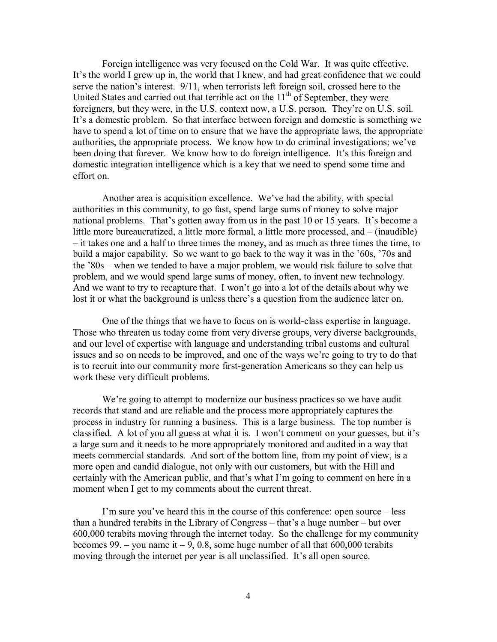Foreign intelligence was very focused on the Cold War. It was quite effective. It's the world I grew up in, the world that I knew, and had great confidence that we could serve the nation's interest. 9/11, when terrorists left foreign soil, crossed here to the United States and carried out that terrible act on the  $11<sup>th</sup>$  of September, they were foreigners, but they were, in the U.S. context now, a U.S. person. They're on U.S. soil. It's a domestic problem. So that interface between foreign and domestic is something we have to spend a lot of time on to ensure that we have the appropriate laws, the appropriate authorities, the appropriate process. We know how to do criminal investigations; we've been doing that forever. We know how to do foreign intelligence. It's this foreign and domestic integration intelligence which is a key that we need to spend some time and effort on.

Another area is acquisition excellence. We've had the ability, with special authorities in this community, to go fast, spend large sums of money to solve major national problems. That's gotten away from us in the past 10 or 15 years. It's become a little more bureaucratized, a little more formal, a little more processed, and  $-$  (inaudible)  $\overline{\phantom{a}}$  it takes one and a half to three times the money, and as much as three times the time, to build a major capability. So we want to go back to the way it was in the '60s, '70s and the  $80s$  – when we tended to have a major problem, we would risk failure to solve that problem, and we would spend large sums of money, often, to invent new technology. And we want to try to recapture that. I won't go into a lot of the details about why we lost it or what the background is unless there's a question from the audience later on.

One of the things that we have to focus on is world-class expertise in language. Those who threaten us today come from very diverse groups, very diverse backgrounds, and our level of expertise with language and understanding tribal customs and cultural issues and so on needs to be improved, and one of the ways we're going to try to do that is to recruit into our community more first-generation Americans so they can help us work these very difficult problems.

We're going to attempt to modernize our business practices so we have audit records that stand and are reliable and the process more appropriately captures the process in industry for running a business. This is a large business. The top number is classified. A lot of you all guess at what it is. I won't comment on your guesses, but it's a large sum and it needs to be more appropriately monitored and audited in a way that meets commercial standards. And sort of the bottom line, from my point of view, is a more open and candid dialogue, not only with our customers, but with the Hill and certainly with the American public, and that's what I'm going to comment on here in a moment when I get to my comments about the current threat.

I'm sure you've heard this in the course of this conference: open source  $-\text{less}$ than a hundred terabits in the Library of Congress  $-$  that's a huge number  $-$  but over 600,000 terabits moving through the internet today. So the challenge for my community becomes 99. – you name it  $-9$ , 0.8, some huge number of all that 600,000 terabits moving through the internet per year is all unclassified. It's all open source.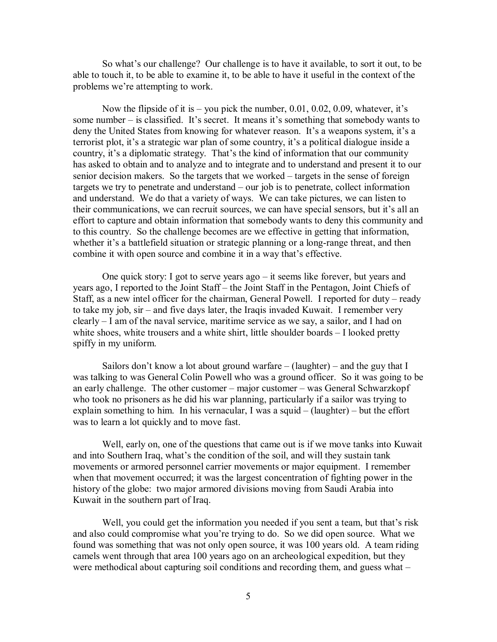So what's our challenge? Our challenge is to have it available, to sort it out, to be able to touch it, to be able to examine it, to be able to have it useful in the context of the problems we're attempting to work.

Now the flipside of it is  $-$  you pick the number, 0.01, 0.02, 0.09, whatever, it's some number – is classified. It's secret. It means it's something that somebody wants to deny the United States from knowing for whatever reason. It's a weapons system, it's a terrorist plot, it's a strategic war plan of some country, it's a political dialogue inside a country, it's a diplomatic strategy. That's the kind of information that our community has asked to obtain and to analyze and to integrate and to understand and present it to our senior decision makers. So the targets that we worked – targets in the sense of foreign targets we try to penetrate and understand  $-$  our job is to penetrate, collect information and understand. We do that a variety of ways. We can take pictures, we can listen to their communications, we can recruit sources, we can have special sensors, but it's all an effort to capture and obtain information that somebody wants to deny this community and to this country. So the challenge becomes are we effective in getting that information, whether it's a battlefield situation or strategic planning or a long-range threat, and then combine it with open source and combine it in a way that's effective.

One quick story: I got to serve years ago  $-$  it seems like forever, but years and years ago, I reported to the Joint Staff – the Joint Staff in the Pentagon, Joint Chiefs of Staff, as a new intel officer for the chairman, General Powell. I reported for duty  $-$  ready to take my job, sir – and five days later, the Iraqis invaded Kuwait. I remember very  $clearly – I$  am of the naval service, maritime service as we say, a sailor, and I had on white shoes, white trousers and a white shirt, little shoulder boards  $-1$  looked pretty spiffy in my uniform.

Sailors don't know a lot about ground warfare  $\overline{\phantom{a}}$  (laughter) – and the guy that I was talking to was General Colin Powell who was a ground officer. So it was going to be an early challenge. The other customer  $-$  major customer  $-$  was General Schwarzkopf who took no prisoners as he did his war planning, particularly if a sailor was trying to explain something to him. In his vernacular, I was a squid  $-$  (laughter)  $-$  but the effort was to learn a lot quickly and to move fast.

Well, early on, one of the questions that came out is if we move tanks into Kuwait and into Southern Iraq, what's the condition of the soil, and will they sustain tank movements or armored personnel carrier movements or major equipment. I remember when that movement occurred; it was the largest concentration of fighting power in the history of the globe: two major armored divisions moving from Saudi Arabia into Kuwait in the southern part of Iraq.

Well, you could get the information you needed if you sent a team, but that's risk and also could compromise what you're trying to do. So we did open source. What we found was something that was not only open source, it was 100 years old. A team riding camels went through that area 100 years ago on an archeological expedition, but they were methodical about capturing soil conditions and recording them, and guess what  $-$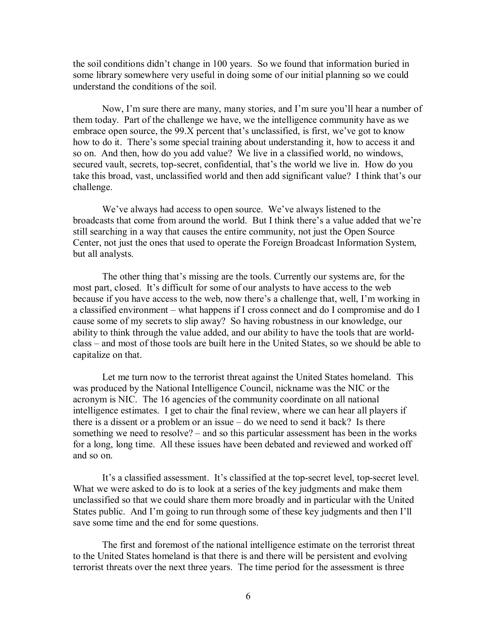the soil conditions didn't change in 100 years. So we found that information buried in some library somewhere very useful in doing some of our initial planning so we could understand the conditions of the soil.

Now, I'm sure there are many, many stories, and I'm sure you'll hear a number of them today. Part of the challenge we have, we the intelligence community have as we embrace open source, the  $99.X$  percent that's unclassified, is first, we've got to know how to do it. There's some special training about understanding it, how to access it and so on. And then, how do you add value? We live in a classified world, no windows, secured vault, secrets, top-secret, confidential, that's the world we live in. How do you take this broad, vast, unclassified world and then add significant value? I think that's our challenge.

We've always had access to open source. We've always listened to the broadcasts that come from around the world. But I think there's a value added that we're still searching in a way that causes the entire community, not just the Open Source Center, not just the ones that used to operate the Foreign Broadcast Information System, but all analysts.

The other thing that's missing are the tools. Currently our systems are, for the most part, closed. It's difficult for some of our analysts to have access to the web because if you have access to the web, now there's a challenge that, well, I'm working in a classified environment – what happens if I cross connect and do I compromise and do I cause some of my secrets to slip away? So having robustness in our knowledge, our ability to think through the value added, and our ability to have the tools that are worldclass – and most of those tools are built here in the United States, so we should be able to capitalize on that.

Let me turn now to the terrorist threat against the United States homeland. This was produced by the National Intelligence Council, nickname was the NIC or the acronym is NIC. The 16 agencies of the community coordinate on all national intelligence estimates. I get to chair the final review, where we can hear all players if there is a dissent or a problem or an issue  $-\text{ do we need to send it back?}$  Is there something we need to resolve?  $-$  and so this particular assessment has been in the works for a long, long time. All these issues have been debated and reviewed and worked off and so on.

Itís a classified assessment. Itís classified at the top-secret level, top-secret level. What we were asked to do is to look at a series of the key judgments and make them unclassified so that we could share them more broadly and in particular with the United States public. And I'm going to run through some of these key judgments and then I'll save some time and the end for some questions.

The first and foremost of the national intelligence estimate on the terrorist threat to the United States homeland is that there is and there will be persistent and evolving terrorist threats over the next three years. The time period for the assessment is three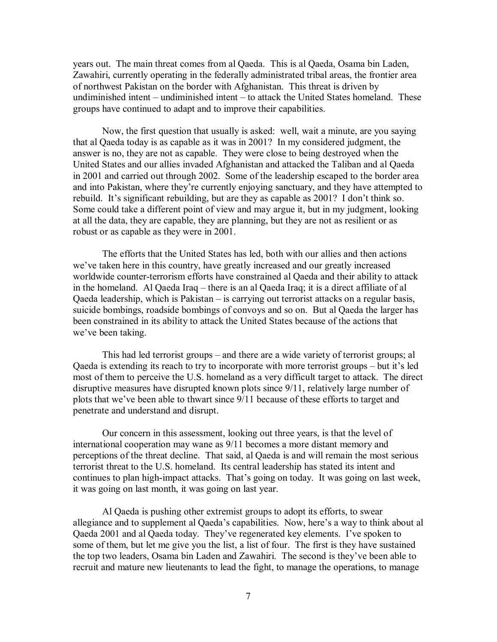years out. The main threat comes from al Qaeda. This is al Qaeda, Osama bin Laden, Zawahiri, currently operating in the federally administrated tribal areas, the frontier area of northwest Pakistan on the border with Afghanistan. This threat is driven by undiminished intent – undiminished intent – to attack the United States homeland. These groups have continued to adapt and to improve their capabilities.

Now, the first question that usually is asked: well, wait a minute, are you saying that al Qaeda today is as capable as it was in 2001? In my considered judgment, the answer is no, they are not as capable. They were close to being destroyed when the United States and our allies invaded Afghanistan and attacked the Taliban and al Qaeda in 2001 and carried out through 2002. Some of the leadership escaped to the border area and into Pakistan, where they're currently enjoying sanctuary, and they have attempted to rebuild. It's significant rebuilding, but are they as capable as 2001? I don't think so. Some could take a different point of view and may argue it, but in my judgment, looking at all the data, they are capable, they are planning, but they are not as resilient or as robust or as capable as they were in 2001.

The efforts that the United States has led, both with our allies and then actions we've taken here in this country, have greatly increased and our greatly increased worldwide counter-terrorism efforts have constrained al Qaeda and their ability to attack in the homeland. Al Qaeda Iraq  $-$  there is an al Qaeda Iraq; it is a direct affiliate of al Qaeda leadership, which is Pakistan  $-$  is carrying out terrorist attacks on a regular basis, suicide bombings, roadside bombings of convoys and so on. But al Qaeda the larger has been constrained in its ability to attack the United States because of the actions that we've been taking.

This had led terrorist groups  $-\$  and there are a wide variety of terrorist groups; al Qaeda is extending its reach to try to incorporate with more terrorist groups  $-$  but it's led most of them to perceive the U.S. homeland as a very difficult target to attack. The direct disruptive measures have disrupted known plots since 9/11, relatively large number of plots that we've been able to thwart since 9/11 because of these efforts to target and penetrate and understand and disrupt.

Our concern in this assessment, looking out three years, is that the level of international cooperation may wane as 9/11 becomes a more distant memory and perceptions of the threat decline. That said, al Qaeda is and will remain the most serious terrorist threat to the U.S. homeland. Its central leadership has stated its intent and continues to plan high-impact attacks. That's going on today. It was going on last week, it was going on last month, it was going on last year.

Al Qaeda is pushing other extremist groups to adopt its efforts, to swear allegiance and to supplement al Qaeda's capabilities. Now, here's a way to think about al Qaeda 2001 and al Qaeda today. They've regenerated key elements. I've spoken to some of them, but let me give you the list, a list of four. The first is they have sustained the top two leaders, Osama bin Laden and Zawahiri. The second is they've been able to recruit and mature new lieutenants to lead the fight, to manage the operations, to manage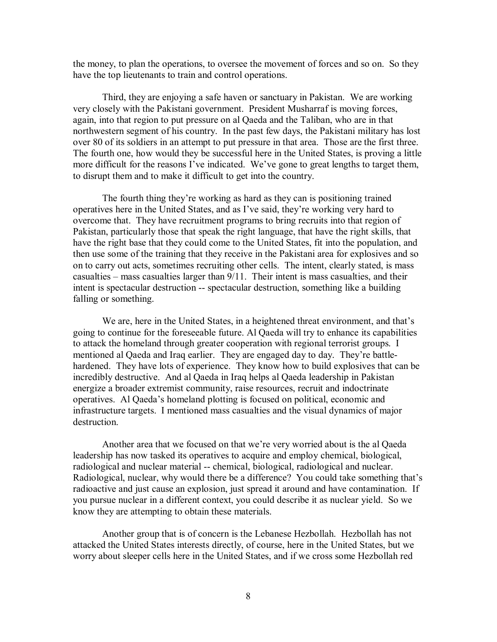the money, to plan the operations, to oversee the movement of forces and so on. So they have the top lieutenants to train and control operations.

Third, they are enjoying a safe haven or sanctuary in Pakistan. We are working very closely with the Pakistani government. President Musharraf is moving forces, again, into that region to put pressure on al Qaeda and the Taliban, who are in that northwestern segment of his country. In the past few days, the Pakistani military has lost over 80 of its soldiers in an attempt to put pressure in that area. Those are the first three. The fourth one, how would they be successful here in the United States, is proving a little more difficult for the reasons I've indicated. We've gone to great lengths to target them, to disrupt them and to make it difficult to get into the country.

The fourth thing they're working as hard as they can is positioning trained operatives here in the United States, and as I've said, they're working very hard to overcome that. They have recruitment programs to bring recruits into that region of Pakistan, particularly those that speak the right language, that have the right skills, that have the right base that they could come to the United States, fit into the population, and then use some of the training that they receive in the Pakistani area for explosives and so on to carry out acts, sometimes recruiting other cells. The intent, clearly stated, is mass casualties  $-$  mass casualties larger than  $9/11$ . Their intent is mass casualties, and their intent is spectacular destruction -- spectacular destruction, something like a building falling or something.

We are, here in the United States, in a heightened threat environment, and that's going to continue for the foreseeable future. Al Qaeda will try to enhance its capabilities to attack the homeland through greater cooperation with regional terrorist groups. I mentioned al Qaeda and Iraq earlier. They are engaged day to day. They're battlehardened. They have lots of experience. They know how to build explosives that can be incredibly destructive. And al Qaeda in Iraq helps al Qaeda leadership in Pakistan energize a broader extremist community, raise resources, recruit and indoctrinate operatives. Al Qaeda's homeland plotting is focused on political, economic and infrastructure targets. I mentioned mass casualties and the visual dynamics of major **destruction** 

Another area that we focused on that we're very worried about is the al Qaeda leadership has now tasked its operatives to acquire and employ chemical, biological, radiological and nuclear material -- chemical, biological, radiological and nuclear. Radiological, nuclear, why would there be a difference? You could take something that's radioactive and just cause an explosion, just spread it around and have contamination. If you pursue nuclear in a different context, you could describe it as nuclear yield. So we know they are attempting to obtain these materials.

Another group that is of concern is the Lebanese Hezbollah. Hezbollah has not attacked the United States interests directly, of course, here in the United States, but we worry about sleeper cells here in the United States, and if we cross some Hezbollah red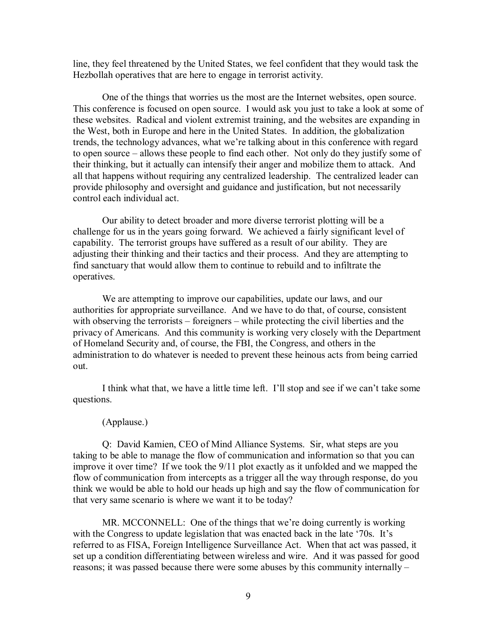line, they feel threatened by the United States, we feel confident that they would task the Hezbollah operatives that are here to engage in terrorist activity.

One of the things that worries us the most are the Internet websites, open source. This conference is focused on open source. I would ask you just to take a look at some of these websites. Radical and violent extremist training, and the websites are expanding in the West, both in Europe and here in the United States. In addition, the globalization trends, the technology advances, what we're talking about in this conference with regard to open source – allows these people to find each other. Not only do they justify some of their thinking, but it actually can intensify their anger and mobilize them to attack. And all that happens without requiring any centralized leadership. The centralized leader can provide philosophy and oversight and guidance and justification, but not necessarily control each individual act.

Our ability to detect broader and more diverse terrorist plotting will be a challenge for us in the years going forward. We achieved a fairly significant level of capability. The terrorist groups have suffered as a result of our ability. They are adjusting their thinking and their tactics and their process. And they are attempting to find sanctuary that would allow them to continue to rebuild and to infiltrate the operatives.

We are attempting to improve our capabilities, update our laws, and our authorities for appropriate surveillance. And we have to do that, of course, consistent with observing the terrorists  $\overline{\phantom{a}}$  foreigners  $\overline{\phantom{a}}$  while protecting the civil liberties and the privacy of Americans. And this community is working very closely with the Department of Homeland Security and, of course, the FBI, the Congress, and others in the administration to do whatever is needed to prevent these heinous acts from being carried out.

I think what that, we have a little time left. I'll stop and see if we can't take some questions.

## (Applause.)

Q: David Kamien, CEO of Mind Alliance Systems. Sir, what steps are you taking to be able to manage the flow of communication and information so that you can improve it over time? If we took the 9/11 plot exactly as it unfolded and we mapped the flow of communication from intercepts as a trigger all the way through response, do you think we would be able to hold our heads up high and say the flow of communication for that very same scenario is where we want it to be today?

MR. MCCONNELL: One of the things that we're doing currently is working with the Congress to update legislation that was enacted back in the late  $\mathcal{O}_1$ . It is referred to as FISA, Foreign Intelligence Surveillance Act. When that act was passed, it set up a condition differentiating between wireless and wire. And it was passed for good reasons; it was passed because there were some abuses by this community internally  $-$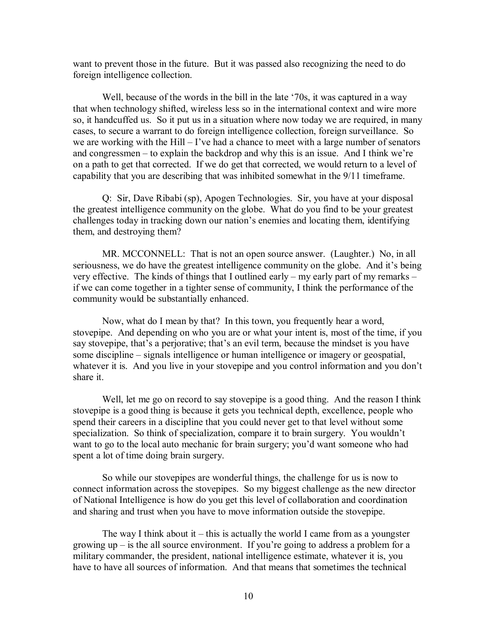want to prevent those in the future. But it was passed also recognizing the need to do foreign intelligence collection.

Well, because of the words in the bill in the late '70s, it was captured in a way that when technology shifted, wireless less so in the international context and wire more so, it handcuffed us. So it put us in a situation where now today we are required, in many cases, to secure a warrant to do foreign intelligence collection, foreign surveillance. So we are working with the Hill  $-$  I've had a chance to meet with a large number of senators and congressmen  $-$  to explain the backdrop and why this is an issue. And I think we're on a path to get that corrected. If we do get that corrected, we would return to a level of capability that you are describing that was inhibited somewhat in the 9/11 timeframe.

Q: Sir, Dave Ribabi (sp), Apogen Technologies. Sir, you have at your disposal the greatest intelligence community on the globe. What do you find to be your greatest challenges today in tracking down our nation's enemies and locating them, identifying them, and destroying them?

MR. MCCONNELL: That is not an open source answer. (Laughter.) No, in all seriousness, we do have the greatest intelligence community on the globe. And it's being very effective. The kinds of things that I outlined early – my early part of my remarks – if we can come together in a tighter sense of community, I think the performance of the community would be substantially enhanced.

Now, what do I mean by that? In this town, you frequently hear a word, stovepipe. And depending on who you are or what your intent is, most of the time, if you say stovepipe, that's a perjorative; that's an evil term, because the mindset is you have some discipline – signals intelligence or human intelligence or imagery or geospatial, whatever it is. And you live in your stovepipe and you control information and you don't share it.

Well, let me go on record to say stovepipe is a good thing. And the reason I think stovepipe is a good thing is because it gets you technical depth, excellence, people who spend their careers in a discipline that you could never get to that level without some specialization. So think of specialization, compare it to brain surgery. You wouldn't want to go to the local auto mechanic for brain surgery; you'd want someone who had spent a lot of time doing brain surgery.

So while our stovepipes are wonderful things, the challenge for us is now to connect information across the stovepipes. So my biggest challenge as the new director of National Intelligence is how do you get this level of collaboration and coordination and sharing and trust when you have to move information outside the stovepipe.

The way I think about it  $-$  this is actually the world I came from as a youngster growing  $up$  – is the all source environment. If you're going to address a problem for a military commander, the president, national intelligence estimate, whatever it is, you have to have all sources of information. And that means that sometimes the technical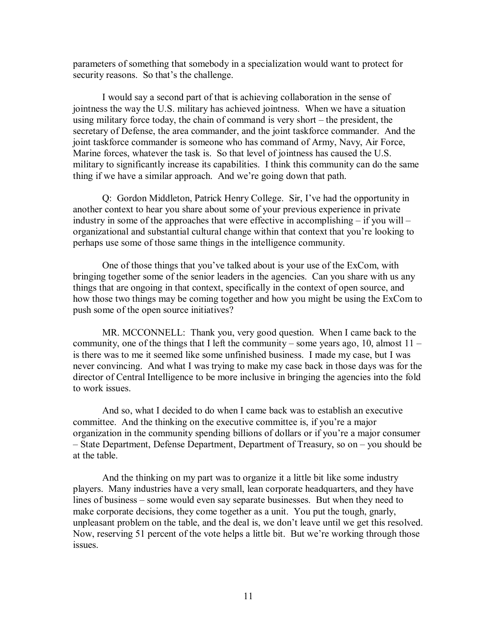parameters of something that somebody in a specialization would want to protect for security reasons. So that's the challenge.

I would say a second part of that is achieving collaboration in the sense of jointness the way the U.S. military has achieved jointness. When we have a situation using military force today, the chain of command is very short  $-$  the president, the secretary of Defense, the area commander, and the joint taskforce commander. And the joint taskforce commander is someone who has command of Army, Navy, Air Force, Marine forces, whatever the task is. So that level of jointness has caused the U.S. military to significantly increase its capabilities. I think this community can do the same thing if we have a similar approach. And we're going down that path.

Q: Gordon Middleton, Patrick Henry College. Sir, Iíve had the opportunity in another context to hear you share about some of your previous experience in private industry in some of the approaches that were effective in accomplishing  $-$  if you will  $$ organizational and substantial cultural change within that context that you're looking to perhaps use some of those same things in the intelligence community.

One of those things that you've talked about is your use of the ExCom, with bringing together some of the senior leaders in the agencies. Can you share with us any things that are ongoing in that context, specifically in the context of open source, and how those two things may be coming together and how you might be using the ExCom to push some of the open source initiatives?

MR. MCCONNELL: Thank you, very good question. When I came back to the community, one of the things that I left the community – some years ago, 10, almost  $11$ is there was to me it seemed like some unfinished business. I made my case, but I was never convincing. And what I was trying to make my case back in those days was for the director of Central Intelligence to be more inclusive in bringing the agencies into the fold to work issues.

And so, what I decided to do when I came back was to establish an executive committee. And the thinking on the executive committee is, if you're a major organization in the community spending billions of dollars or if you're a major consumer – State Department, Defense Department, Department of Treasury, so on – you should be at the table.

And the thinking on my part was to organize it a little bit like some industry players. Many industries have a very small, lean corporate headquarters, and they have lines of business – some would even say separate businesses. But when they need to make corporate decisions, they come together as a unit. You put the tough, gnarly, unpleasant problem on the table, and the deal is, we don't leave until we get this resolved. Now, reserving 51 percent of the vote helps a little bit. But we're working through those issues.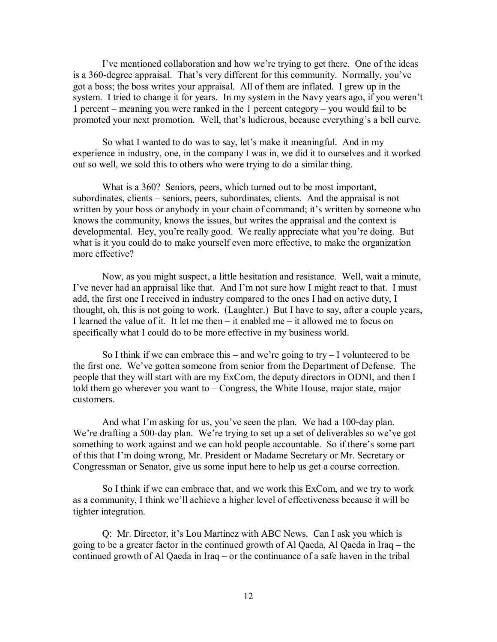I've mentioned collaboration and how we're trying to get there. One of the ideas is a 360-degree appraisal. That's very different for this community. Normally, you've got a boss; the boss writes your appraisal. All of them are inflated. I grew up in the system. I tried to change it for years. In my system in the Navy years ago, if you weren't 1 percent – meaning you were ranked in the 1 percent category – you would fail to be promoted your next promotion. Well, that's ludicrous, because everything's a bell curve.

So what I wanted to do was to say, let's make it meaningful. And in my experience in industry, one, in the company I was in, we did it to ourselves and it worked out so well, we sold this to others who were trying to do a similar thing.

What is a 360? Seniors, peers, which turned out to be most important, subordinates, clients – seniors, peers, subordinates, clients. And the appraisal is not written by your boss or anybody in your chain of command; it's written by someone who knows the community, knows the issues, but writes the appraisal and the context is developmental. Hey, you're really good. We really appreciate what you're doing. But what is it you could do to make yourself even more effective, to make the organization more effective?

Now, as you might suspect, a little hesitation and resistance. Well, wait a minute, I've never had an appraisal like that. And I'm not sure how I might react to that. I must add, the first one I received in industry compared to the ones I had on active duty, I thought, oh, this is not going to work. (Laughter.) But I have to say, after a couple years, I learned the value of it. It let me then  $-$  it enabled me  $-$  it allowed me to focus on specifically what I could do to be more effective in my business world.

So I think if we can embrace this – and we're going to try  $-1$  volunteered to be the first one. We've gotten someone from senior from the Department of Defense. The people that they will start with are my ExCom, the deputy directors in ODNI, and then I told them go wherever you want to  $\sim$  Congress, the White House, major state, major customers.

And what I'm asking for us, you've seen the plan. We had a 100-day plan. We're drafting a 500-day plan. We're trying to set up a set of deliverables so we've got something to work against and we can hold people accountable. So if there's some part of this that Iím doing wrong, Mr. President or Madame Secretary or Mr. Secretary or Congressman or Senator, give us some input here to help us get a course correction.

So I think if we can embrace that, and we work this ExCom, and we try to work as a community, I think we'll achieve a higher level of effectiveness because it will be tighter integration.

Q: Mr. Director, it's Lou Martinez with ABC News. Can I ask you which is going to be a greater factor in the continued growth of Al Qaeda, Al Qaeda in Iraq  $-$  the continued growth of Al Qaeda in Iraq  $-$  or the continuance of a safe haven in the tribal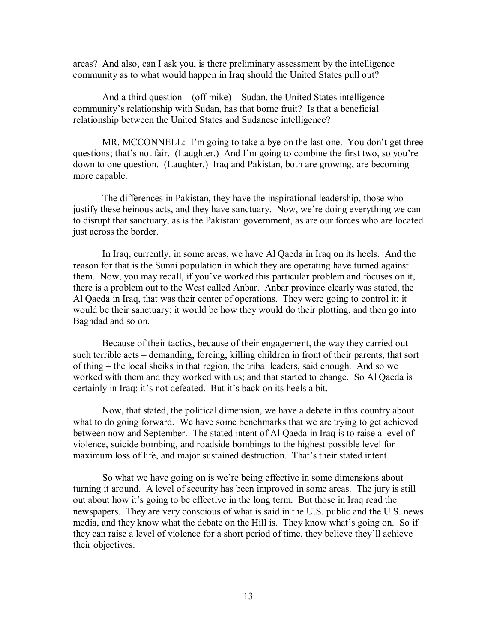areas? And also, can I ask you, is there preliminary assessment by the intelligence community as to what would happen in Iraq should the United States pull out?

And a third question  $-$  (off mike)  $-$  Sudan, the United States intelligence communityís relationship with Sudan, has that borne fruit? Is that a beneficial relationship between the United States and Sudanese intelligence?

MR. MCCONNELL: I'm going to take a bye on the last one. You don't get three questions; that's not fair. (Laughter.) And I'm going to combine the first two, so you're down to one question. (Laughter.) Iraq and Pakistan, both are growing, are becoming more capable.

The differences in Pakistan, they have the inspirational leadership, those who justify these heinous acts, and they have sanctuary. Now, we're doing everything we can to disrupt that sanctuary, as is the Pakistani government, as are our forces who are located just across the border.

In Iraq, currently, in some areas, we have Al Qaeda in Iraq on its heels. And the reason for that is the Sunni population in which they are operating have turned against them. Now, you may recall, if you've worked this particular problem and focuses on it, there is a problem out to the West called Anbar. Anbar province clearly was stated, the Al Qaeda in Iraq, that was their center of operations. They were going to control it; it would be their sanctuary; it would be how they would do their plotting, and then go into Baghdad and so on.

Because of their tactics, because of their engagement, the way they carried out such terrible acts – demanding, forcing, killing children in front of their parents, that sort of thing – the local sheiks in that region, the tribal leaders, said enough. And so we worked with them and they worked with us; and that started to change. So Al Qaeda is certainly in Iraq; it's not defeated. But it's back on its heels a bit.

Now, that stated, the political dimension, we have a debate in this country about what to do going forward. We have some benchmarks that we are trying to get achieved between now and September. The stated intent of Al Qaeda in Iraq is to raise a level of violence, suicide bombing, and roadside bombings to the highest possible level for maximum loss of life, and major sustained destruction. That's their stated intent.

So what we have going on is we're being effective in some dimensions about turning it around. A level of security has been improved in some areas. The jury is still out about how it's going to be effective in the long term. But those in Iraq read the newspapers. They are very conscious of what is said in the U.S. public and the U.S. news media, and they know what the debate on the Hill is. They know what's going on. So if they can raise a level of violence for a short period of time, they believe they'll achieve their objectives.